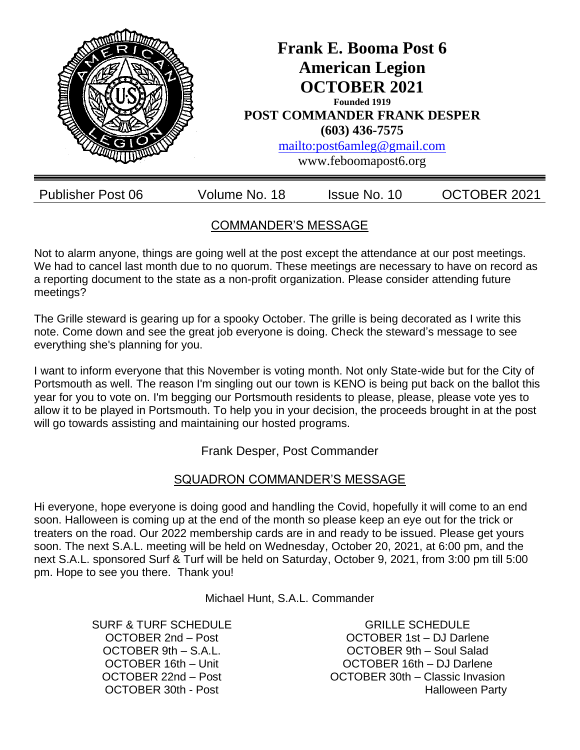

# COMMANDER'S MESSAGE

Not to alarm anyone, things are going well at the post except the attendance at our post meetings. We had to cancel last month due to no quorum. These meetings are necessary to have on record as a reporting document to the state as a non-profit organization. Please consider attending future meetings?

The Grille steward is gearing up for a spooky October. The grille is being decorated as I write this note. Come down and see the great job everyone is doing. Check the steward's message to see everything she's planning for you.

I want to inform everyone that this November is voting month. Not only State-wide but for the City of Portsmouth as well. The reason I'm singling out our town is KENO is being put back on the ballot this year for you to vote on. I'm begging our Portsmouth residents to please, please, please vote yes to allow it to be played in Portsmouth. To help you in your decision, the proceeds brought in at the post will go towards assisting and maintaining our hosted programs.

Frank Desper, Post Commander

## SQUADRON COMMANDER'S MESSAGE

Hi everyone, hope everyone is doing good and handling the Covid, hopefully it will come to an end soon. Halloween is coming up at the end of the month so please keep an eye out for the trick or treaters on the road. Our 2022 membership cards are in and ready to be issued. Please get yours soon. The next S.A.L. meeting will be held on Wednesday, October 20, 2021, at 6:00 pm, and the next S.A.L. sponsored Surf & Turf will be held on Saturday, October 9, 2021, from 3:00 pm till 5:00 pm. Hope to see you there. Thank you!

Michael Hunt, S.A.L. Commander

SURF & TURF SCHEDULE OCTOBER 2nd – Post OCTOBER 9th – S.A.L. OCTOBER 16th – Unit OCTOBER 22nd – Post OCTOBER 30th - Post

GRILLE SCHEDULE OCTOBER 1st – DJ Darlene OCTOBER 9th – Soul Salad OCTOBER 16th – DJ Darlene OCTOBER 30th – Classic Invasion Halloween Party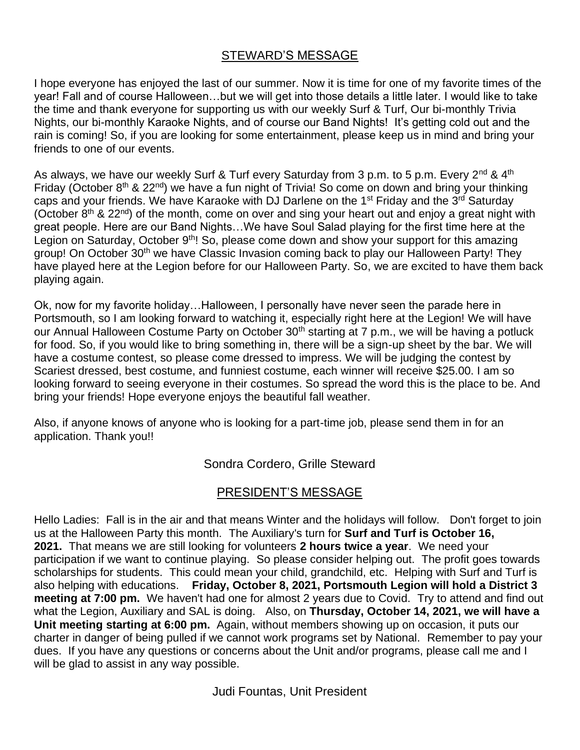### STEWARD'S MESSAGE

I hope everyone has enjoyed the last of our summer. Now it is time for one of my favorite times of the year! Fall and of course Halloween…but we will get into those details a little later. I would like to take the time and thank everyone for supporting us with our weekly Surf & Turf, Our bi-monthly Trivia Nights, our bi-monthly Karaoke Nights, and of course our Band Nights! It's getting cold out and the rain is coming! So, if you are looking for some entertainment, please keep us in mind and bring your friends to one of our events.

As always, we have our weekly Surf & Turf every Saturday from 3 p.m. to 5 p.m. Every  $2^{nd}$  & 4<sup>th</sup> Friday (October  $8<sup>th</sup>$  & 22<sup>nd</sup>) we have a fun night of Trivia! So come on down and bring your thinking caps and your friends. We have Karaoke with DJ Darlene on the 1<sup>st</sup> Friday and the 3<sup>rd</sup> Saturday (October  $8<sup>th</sup>$  & 22<sup>nd</sup>) of the month, come on over and sing your heart out and enjoy a great night with great people. Here are our Band Nights…We have Soul Salad playing for the first time here at the Legion on Saturday, October 9<sup>th</sup>! So, please come down and show your support for this amazing group! On October 30<sup>th</sup> we have Classic Invasion coming back to play our Halloween Party! They have played here at the Legion before for our Halloween Party. So, we are excited to have them back playing again.

Ok, now for my favorite holiday…Halloween, I personally have never seen the parade here in Portsmouth, so I am looking forward to watching it, especially right here at the Legion! We will have our Annual Halloween Costume Party on October 30<sup>th</sup> starting at 7 p.m., we will be having a potluck for food. So, if you would like to bring something in, there will be a sign-up sheet by the bar. We will have a costume contest, so please come dressed to impress. We will be judging the contest by Scariest dressed, best costume, and funniest costume, each winner will receive \$25.00. I am so looking forward to seeing everyone in their costumes. So spread the word this is the place to be. And bring your friends! Hope everyone enjoys the beautiful fall weather.

Also, if anyone knows of anyone who is looking for a part-time job, please send them in for an application. Thank you!!

Sondra Cordero, Grille Steward

#### PRESIDENT'S MESSAGE

Hello Ladies: Fall is in the air and that means Winter and the holidays will follow. Don't forget to join us at the Halloween Party this month. The Auxiliary's turn for **Surf and Turf is October 16, 2021.** That means we are still looking for volunteers **2 hours twice a year**. We need your participation if we want to continue playing. So please consider helping out. The profit goes towards scholarships for students. This could mean your child, grandchild, etc. Helping with Surf and Turf is also helping with educations. **Friday, October 8, 2021, Portsmouth Legion will hold a District 3 meeting at 7:00 pm.** We haven't had one for almost 2 years due to Covid. Try to attend and find out what the Legion, Auxiliary and SAL is doing. Also, on **Thursday, October 14, 2021, we will have a Unit meeting starting at 6:00 pm.** Again, without members showing up on occasion, it puts our charter in danger of being pulled if we cannot work programs set by National. Remember to pay your dues. If you have any questions or concerns about the Unit and/or programs, please call me and I will be glad to assist in any way possible.

Judi Fountas, Unit President